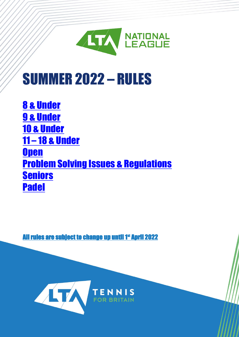

# SUMMER 2022 – RULES

[8 & Under](#page-0-0) [9 & Under](#page-2-0) [10 & Under](#page-4-0) 11 – [18 & Under](#page-6-0) **[Open](#page-8-0)** [Problem Solving Issues & Regulations](#page-11-0) **[Seniors](#page-14-0)** [Padel](#page-16-0)

<span id="page-0-0"></span>**All rules are subject to change up until 1st April 2022** 

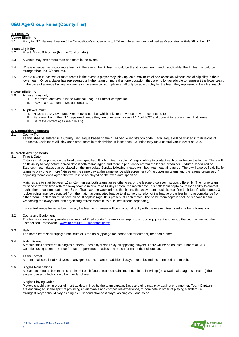# **8&U Age Group Rules (County Tier)**

# **1. Eligibility**

**Venue Eligibility**

1.1 Entry to LTA National League ('the Competition') is open only to LTA registered venues, defined as Associates in Rule 28 of the LTA.

# **Team Eligibility**

- 1.2 Event: Mixed 8 & under (born in 2014 or later).
- 1.3 A venue may enter more than one team in the event.
- 1.4 Where a venue has two or more teams in the event, the 'A' team should be the strongest team, and if applicable, the 'B' team should be stronger than the 'C' team etc.
- 1.5 Where a venue has two or more teams in the event, a player may 'play up' on a maximum of one occasion without loss of eligibility in their lower team. Once a player has represented a higher team on more than one occasion, they are no longer eligible to represent the lower team. In the case of a venue having two teams in the same division, players will only be able to play for the team they represent in their first match.

#### **Player Eligibility**

1.6 A player may only:

- I. Represent one venue in the National League Summer competition.
- II. Play in a maximum of two age groups.
- 1.7 All players must:
	-
	- I. Have an LTA Advantage Membership number which links to the venue they are competing for.<br>II. Be a member of the LTA registered venue they are competing for as of 1 April 2022 and commi Be a member of the LTA registered venue they are competing for as of 1 April 2022 and commit to representing that venue.
	- III. Be of the correct age (see rule 1.2).

#### **2. Competition Structure**

2.1 County Tier

Teams shall be entered in a County Tier league based on their LTA venue registration code. Each league will be divided into divisions of 3-6 teams. Each team will play each other team in their division at least once. Counties may run a central venue event at 8&U.

#### **3. Match Arrangements**

Time & Date

Fixtures shall be played on the fixed dates specified. It is both team captains' responsibility to contact each other before the fixture. There will be flexibility to play before a fixed date if both teams agree and there is prior consent from the league organiser. Fixtures scheduled on Saturday match dates can be played on the immediate Sunday following (next day) if both team captains agree. There will also be flexibility for teams to play one or more fixtures on the same day at the same venue with agreement of the opposing teams and the league organiser. If opposing teams don't agree the fixture is to be played on the fixed date specified.

Matches are to start between 10am-2pm unless both teams agree otherwise, or the league organiser instructs differently. The home team must confirm start time with the away team a minimum of 14 days before the match date. It is both team captains' responsibility to contact each other to confirm start times. By the Tuesday, the week prior to the fixture, the away team must also confirm their team's attendance. 3 rubber points may be deducted from the match accumulated league total at the discretion of the league organiser for none compliance from either team. Each team must have an adult captain (age 18+) present at each match. The home team captain shall be responsible for welcoming the away team and organising refreshments (Covid-19 restrictions depending).

If a central venue format is being used, the league organiser will be in touch directly with the relevant teams with further information.

#### 3.2 Courts and Equipment

The home venue shall provide a minimum of 2 red courts (preferably 4); supply the court equipment and set-up the court in line with the Competition Framework - [www.lta.org.uk/8-9-10competitions/](http://www.lta.org.uk/8-9-10competitions/)

3.3 Balls

The home team shall supply a minimum of 3 red balls (sponge for indoor; felt for outdoor) for each rubber.

#### 3.4 Match Format

A match shall consist of 16 singles rubbers. Each player shall play all opposing players. There will be no doubles rubbers at 8&U. Counties using a central venue format are permitted to adjust the match format at their discretion.

#### 3.5 Team Format

A team shall consist of 4 players of any gender. There are no additional players or substitutions permitted at a match.

#### 3.6 Singles Nominations

At least 15 minutes before the start time of each fixture, team captains must nominate in writing (on a National League scorecard) their singles players which should be in order of merit.

#### Singles Playing Order

Players should play in order of merit as determined by the team captain. Boys and girls may play against one another. Team Captains are encouraged, in the spirit of providing an enjoyable and competitive experience, to nominate in order of playing standard i.e., strongest player should play as singles 1, second strongest player as singles 2 and so on.

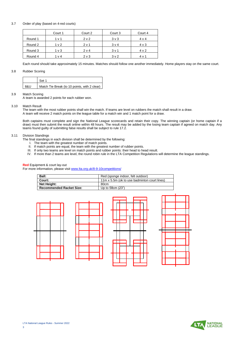# 3.7 Order of play (based on 4-red courts)

|         | Court 1        | Court 2          | Court 3          | Court 4    |
|---------|----------------|------------------|------------------|------------|
| Round 1 | 1 v 1          | 2 <sub>v</sub> 2 | $3v$ 3           | $4 \vee 4$ |
| Round 2 | 1 <sub>v</sub> | 2 v 1            | 3 <sub>v</sub>   | $4 \vee 3$ |
| Round 3 | 1 v 3          | 2 <sub>v</sub>   | $3v$ 1           | $4 \vee 2$ |
| Round 4 | 1 v 4          | 2 <sub>v</sub>   | 3 <sub>v</sub> 2 | 4 v 1      |

Each round should take approximately 15 minutes. Matches should follow one another immediately. Home players stay on the same court.

# 3.8 Rubber Scoring

|     | Set 1                                        |
|-----|----------------------------------------------|
| 8&U | Match Tie Break (to 10 points, with 2 clear) |

# 3.9 Match Scoring

A team is awarded 2 points for each rubber won.

#### 3.10 Match Result

The team with the most rubber points shall win the match. If teams are level on rubbers the match shall result in a draw. A team will receive 2 match points on the league table for a match win and 1 match point for a draw.

Both captains must complete and sign the National League scorecards and retain their copy. The winning captain (or home captain if a draw) must then submit the result online within 48 hours. The result may be added by the losing team captain if agreed on match day. Any teams found guilty of submitting false results shall be subject to rule 17.2.

# 3.11 Division Standings

- The final standings in each division shall be determined by the following:
	- I. The team with the greatest number of match points.
	- II. If match points are equal, the team with the greatest number of rubber points.
	- III. If only two teams are level on match points and rubber points: their head to head result.
	- IV. If more than 2 teams are level, the round robin rule in the LTA Competition Regulations will determine the league standings.

# **Red** Equipment & court lay-out

For more information, please visi[t www.lta.org.uk/8-9-10competitions/](http://www.lta.org.uk/8-9-10competitions/)

| Ball:<br>Red (sponge indoor, felt outdoor)             |                  |
|--------------------------------------------------------|------------------|
| Court:<br>11m x 5.5m (ok to use badminton court lines) |                  |
| Net Height:                                            | 80cm             |
| <b>Recommended Racket Size:</b>                        | Up to 58cm (23") |

<span id="page-2-0"></span>

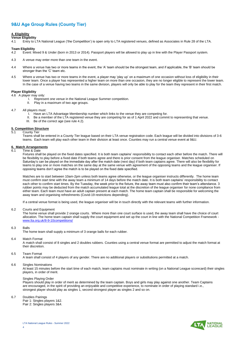# **9&U Age Group Rules (County Tier)**

# **4. Eligibility**

#### **Venue Eligibility**

4.1 Entry to LTA National League ('the Competition') is open only to LTA registered venues, defined as Associates in Rule 28 of the LTA.

# **Team Eligibility**

- 4.2 Event: Mixed 9 & Under (born in 2013 or 2014). Passport players will be allowed to play up in line with the Player Passport system.
- 4.3 A venue may enter more than one team in the event.
- 4.4 Where a venue has two or more teams in the event, the 'A' team should be the strongest team, and if applicable, the 'B' team should be stronger than the 'C' team etc.
- 4.5 Where a venue has two or more teams in the event, a player may 'play up' on a maximum of one occasion without loss of eligibility in their lower team. Once a player has represented a higher team on more than one occasion, they are no longer eligible to represent the lower team. In the case of a venue having two teams in the same division, players will only be able to play for the team they represent in their first match.

#### **Player Eligibility**

4.6 A player may only:

- I. Represent one venue in the National League Summer competition.
- II. Play in a maximum of two age groups.
- 4.7 All players must:
	- I. Have an LTA Advantage Membership number which links to the venue they are competing for.<br>ILI Be a member of the LTA registered venue they are competing for as of 1 April 2022 and comm
	- II. Be a member of the LTA registered venue they are competing for as of 1 April 2022 and commit to representing that venue.<br>III. Be of the correct age (see rule 4.2).
	- Be of the correct age (see rule 4.2).

# **5. Competition Structure**

#### 5.1 County Tier

Teams shall be entered in a County Tier league based on their LTA venue registration code. Each league will be divided into divisions of 3-6 teams. Each team will play each other team in their division at least once. Counties may run a central venue event at 9&U.

# **6. Match Arrangements**

Time & Date

Fixtures shall be played on the fixed dates specified. It is both team captains' responsibility to contact each other before the match. There will be flexibility to play before a fixed date if both teams agree and there is prior consent from the league organiser. Matches scheduled on Saturday's can be played on the immediate day after the match date (next day) if both team captains agree. There will also be flexibility for teams to play one or more matches on the same day at the same venue with agreement of the opposing teams and the league organiser. If opposing teams don't agree the match is to be played on the fixed date specified.

Matches are to start between 10am-2pm unless both teams agree otherwise, or the league organiser instructs differently. The home team must confirm start time with the away team a minimum of 14 days before the match date. It is both team captains' responsibility to contact each other to confirm start times. By the Tuesday, the week prior to the fixture, the away team must also confirm their team's attendance. 3 rubber points may be deducted from the match accumulated league total at the discretion of the league organiser for none compliance from either team. Each team must have an adult captain present at each match. The home team captain shall be responsible for welcoming the away team and organising refreshments (Covid-19 restrictions depending).

If a central venue format is being used, the league organiser will be in touch directly with the relevant teams with further information.

#### 6.2 Courts and Equipment

The home venue shall provide 2 orange courts. Where more than one court surface is used, the away team shall have the choice of court allocation. The home team captain shall supply the court equipment and set up the court in line with the National Competition Framework [www.lta.org.uk/8-9-10competitions/](http://www.lta.org.uk/8-9-10competitions/)

#### 6.3 Balls

The home team shall supply a minimum of 3 orange balls for each rubber.

#### 6.4 Match Format

A match shall consist of 8 singles and 2 doubles rubbers. Counties using a central venue format are permitted to adjust the match format at their discretion.

# 6.5 Team Format

A team shall consist of 4 players of any gender. There are no additional players or substitutions permitted at a match.

# 6.6 Singles Nominations

At least 15 minutes before the start time of each match, team captains must nominate in writing (on a National League scorecard) their singles players, in order of merit.

#### Singles Playing Order

Players should play in order of merit as determined by the team captain. Boys and girls may play against one another. Team Captains are encouraged, in the spirit of providing an enjoyable and competitive experience, to nominate in order of playing standard i.e., strongest player should play as singles 1, second strongest player as singles 2 and so on.

# 6.7 Doubles Pairings

Pair 1: Singles players 1&2. Pair 2: Singles players 3&4.

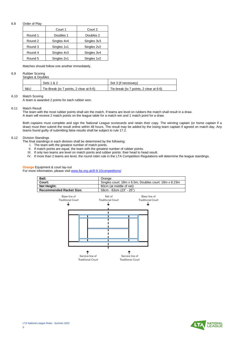# 6.8 Order of Play

|         | Court 1     | Court 2     |
|---------|-------------|-------------|
| Round 1 | Doubles 1   | Doubles 2   |
| Round 2 | Singles 4v4 | Singles 3v3 |
| Round 3 | Singles 1v1 | Singles 2v2 |
| Round 4 | Singles 4v3 | Singles 3v4 |
| Round 5 | Singles 2v1 | Singles 1v2 |

Matches should follow one another immediately.

#### 6.9 Rubber Scoring Singles & Doubles

| wigiou a Doubico |                                         |                                         |  |  |
|------------------|-----------------------------------------|-----------------------------------------|--|--|
|                  | Sets 1 & 2                              | Set 3 (if necessary)                    |  |  |
| 9&U              | Tie-Break (to 7 points, 2 clear at 6-6) | Tie-break (to 7 points, 2 clear at 6-6) |  |  |

# 6.10 Match Scoring

A team is awarded 2 points for each rubber won.

#### 6.11 Match Result

The team with the most rubber points shall win the match. If teams are level on rubbers the match shall result in a draw. A team will receive 2 match points on the league table for a match win and 1 match point for a draw.

Both captains must complete and sign the National League scorecards and retain their copy. The winning captain (or home captain if a draw) must then submit the result online within 48 hours. The result may be added by the losing team captain if agreed on match day. Any teams found quilty of submitting false results shall be subject to rule 17.2.

#### 6.12 Division Standings

- The final standings in each division shall be determined by the following:
	- I. The team with the greatest number of match points.
	- II. If match points are equal, the team with the greatest number of rubber points.
	- III. If only two teams are level on match points and rubber points: their head to head result.
	- IV. If more than 2 teams are level, the round robin rule in the LTA Competition Regulations will determine the league standings.

# **Orange** Equipment & court lay-out

For more information, please visi[t www.lta.org.uk/8-9-10competitions/](http://www.lta.org.uk/8-9-10competitions/)

| Ball:                           | Orange                                                |
|---------------------------------|-------------------------------------------------------|
| Court:                          | Singles court: 18m x 6.5m; Doubles court: 18m x 8.23m |
| Net Height:                     | 80cm (at middle of net)                               |
| <b>Recommended Racket Size:</b> | 58cm - 63cm (23" - 25")                               |

<span id="page-4-0"></span>

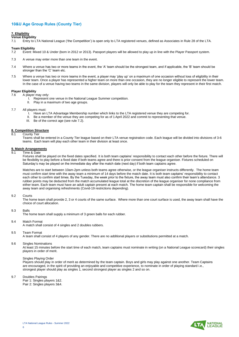# **10&U Age Group Rules (County Tier)**

# **7. Eligibility**

# **Venue Eligibility**<br>7.1 **Entry to L**

7.1 Entry to LTA National League ('the Competition') is open only to LTA registered venues, defined as Associates in Rule 28 of the LTA.

# **Team Eligibility**

- 7.2 Event: Mixed 10 & Under (born in 2012 or 2013). Passport players will be allowed to play up in line with the Player Passport system.
- 7.3 A venue may enter more than one team in the event.
- 7.4 Where a venue has two or more teams in the event, the 'A' team should be the strongest team, and if applicable, the 'B' team should be stronger than the 'C' team etc.
- 7.5 Where a venue has two or more teams in the event, a player may 'play up' on a maximum of one occasion without loss of eligibility in their lower team. Once a player has represented a higher team on more than one occasion, they are no longer eligible to represent the lower team. In the case of a venue having two teams in the same division, players will only be able to play for the team they represent in their first match.

# **Player Eligibility**

- 7.6 A player may only:
	- I. Represent one venue in the National League Summer competition.
	- II. Play in a maximum of two age groups.
- 7.7 All players must:
	- I. Have an LTA Advantage Membership number which links to the LTA registered venue they are competing for.<br>II. Be a member of the venue they are competing for as of 1 April 2022 and commit to representing that venue.
	- Be a member of the venue they are competing for as of 1 April 2022 and commit to representing that venue.
	- III. Be of the correct age (see rule 7.2).

# **8. Competition Structure**

#### 8.1 County Tier

Teams shall be entered in a County Tier league based on their LTA venue registration code. Each league will be divided into divisions of 3-6 teams. Each team will play each other team in their division at least once.

#### **9. Match Arrangements**

9.1 Time & Date

Fixtures shall be played on the fixed dates specified. It is both team captains' responsibility to contact each other before the fixture. There will be flexibility to play before a fixed date if both teams agree and there is prior consent from the league organiser. Fixtures scheduled on Saturday's may be played on the immediate day after the match date (next day) if both team captains agree.

Matches are to start between 10am-2pm unless both teams agree otherwise, or the league organiser instructs differently. The home team must confirm start time with the away team a minimum of 14 days before the match date. It is both team captains' responsibility to contact each other to confirm start times. By the Tuesday, the week prior to the fixture, the away team must also confirm their team's attendance. 3 rubber points may be deducted from the match accumulated league total at the discretion of the league organiser for none compliance from either team. Each team must have an adult captain present at each match. The home team captain shall be responsible for welcoming the away team and organising refreshments (Covid-19 restrictions depending).

# 9.2 Courts

The home team shall provide 2, 3 or 4 courts of the same surface. Where more than one court surface is used, the away team shall have the choice of court allocation.

# 9.3 Balls

The home team shall supply a minimum of 3 green balls for each rubber.

#### 9.4 Match Format

A match shall consist of 4 singles and 2 doubles rubbers.

# 9.5 Team Format

A team shall consist of 4 players of any gender. There are no additional players or substitutions permitted at a match.

# 9.6 Singles Nominations

At least 15 minutes before the start time of each match, team captains must nominate in writing (on a National League scorecard) their singles players in order of merit.

#### Singles Playing Order

Players should play in order of merit as determined by the team captain. Boys and girls may play against one another. Team Captains are encouraged, in the spirit of providing an enjoyable and competitive experience, to nominate in order of playing standard i.e., strongest player should play as singles 1, second strongest player as singles 2 and so on.

#### 9.7 Doubles Pairings

Pair 1: Singles players 1&2. Pair 2: Singles players 3&4.

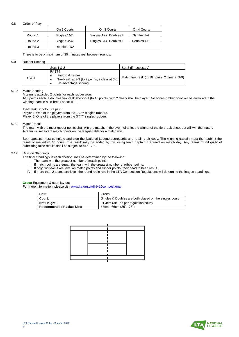# 9.8 Order of Play

|         | On 2 Courts | On 3 Courts            | On 4 Courts |
|---------|-------------|------------------------|-------------|
| Round 1 | Singles 1&2 | Singles 1&2, Doubles 2 | Singles 1-4 |
| Round 2 | Singles 3&4 | Singles 3&4, Doubles 1 | Doubles 1&2 |
| Round 3 | Doubles 1&2 |                        |             |

There is to be a maximum of 30 minutes rest between rounds.

#### 9.9 Rubber Scoring

|      | Sets 1 & 2                                                                                          | Set 3 (if necessary)                           |
|------|-----------------------------------------------------------------------------------------------------|------------------------------------------------|
| 10&U | FAST4<br>First to 4 games<br>Tie-break at 3-3 (to 7 points, 2 clear at 6-6)<br>No advantage scoring | Match tie-break (to 10 points, 2 clear at 9-9) |

# 9.10 Match Scoring

A team is awarded 2 points for each rubber won.

At 6 points each, a doubles tie-break shoot-out (to 10 points, with 2 clear) shall be played. No bonus rubber point will be awarded to the winning team in a tie-break shoot-out.

Tie-Break Shootout (1 pair):

Player 1: One of the players from the 1<sup>st</sup>/2<sup>nd</sup> singles rubbers. Player 2: One of the players from the  $3<sup>rd</sup>/4<sup>th</sup>$  singles rubbers.

#### 9.11 Match Result

The team with the most rubber points shall win the match, in the event of a tie, the winner of the tie-break shoot-out will win the match. A team will receive 2 match points on the league table for a match win.

Both captains must complete and sign the National League scorecards and retain their copy. The winning captain must then submit the result online within 48 hours. The result may be added by the losing team captain if agreed on match day. Any teams found guilty of submitting false results shall be subject to rule 17.2.

#### 9.12 Division Standings

The final standings in each division shall be determined by the following:

- I. The team with the greatest number of match points.
- II. If match points are equal, the team with the greatest number of rubber points.
- III. If only two teams are level on match points and rubber points: their head to head result.
- IV. If more than 2 teams are level, the round robin rule in the LTA Competition Regulations will determine the league standings.

#### **Green** Equipment & court lay-out

For more information, please visi[t www.lta.org.uk/8-9-10competitions/](http://www.lta.org.uk/8-9-10competitions/)

| Ball:                           | Green                                                  |
|---------------------------------|--------------------------------------------------------|
| Court:                          | Singles & Doubles are both played on the singles court |
| Net Height:                     | 91.4cm (3ft - as per regulation court)                 |
| <b>Recommended Racket Size:</b> | 63cm - 66cm (25" - 26")                                |

<span id="page-6-0"></span>

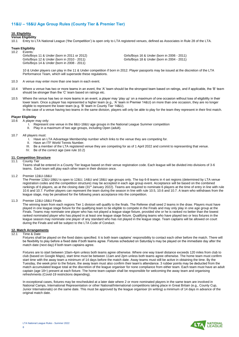# **11&U – 18&U Age Group Rules (County Tier & Premier Tier)**

#### **10. Eligibility**

# **Venue Eligibility**<br>10.1 **Entry to L**

10.1 Entry to LTA National League ('the Competition') is open only to LTA registered venues, defined as Associates in Rule 28 of the LTA.

#### **Team Eligibility** 10.2 Events:

Girls/Boys 11 & Under (born in 2011 or 2012) Girls/Boys 16 & Under (born in 2006 - 2011) Girls/Boys 12 & Under (born in 2010 - 2011) Girls/Boys 12 & Under (born in 2010 - 2011) Girls/Boys 14 & Under (born in 2008 - 2011)

10 & Under players can play in the 11 & Under competition if born in 2012. Player passports may be issued at the discretion of the LTA Performance Team, which will supersede these regulations.

- 10.3 A venue may enter more than one team in each event.
- 10.4 Where a venue has two or more teams in an event, the 'A' team should be the strongest team based on ratings, and if applicable, the 'B' team should be stronger than the 'C' team based on ratings etc.
- 10.5 Where the venue has two or more teams in an event, a player may 'play up' on a maximum of one occasion without loss of eligibility in their lower team. Once a player has represented a higher team (e.g., 'A' team in Premier 14&U) on more than one occasion, they are no longer eligible to represent the lower team (e.g. 'B' team in County Tier 14&U). In the case of a venue having two teams in the same division, players will only be able to play for the team they represent in their first match.

#### **Player Eligibility**

- 10.6 A player may only:
	- I. Represent one venue in the 8&U-18&U age groups in the National League Summer competition<br>II. Play in a maximum of two age groups, including Open (adult).
	- Play in a maximum of two age groups, including Open (adult).
- 10.7 All players must:
	- I. Have an LTA Advantage Membership number which links to the venue they are competing for.
	- II. Have an ITF World Tennis Number.
	- III. Be a member of the LTA registered venue they are competing for as of 1 April 2022 and commit to representing that venue.
	- IV. Be of the correct age (see rule 10.2)

#### **11. Competition Structure**

**County Tier** 

Teams shall be entered in a County Tier league based on their venue registration code. Each league will be divided into divisions of 3-6 teams. Each team will play each other team in their division once.

11.2 Premier 12&U-18&U

The Premier 12&U-18&U is open to 12&U, 14&U and 18&U age groups only. The top 6-8 teams in 4 set regions (determined by LTA venue registration codes and the competition structure) may be accepted in each age group event. Acceptance will be based on the combined rankings of 6 players, as at the closing date (31<sup>st</sup> January 2022). Teams are required to nominate 6 players at the time of entry in line with rule 10.6 and 10.7. Further players can represent the team during the season in line with rule 10.5, 10.6 and 10.7. A team who withdraws from the league stage, may be penalised for the following years acceptance into the competition.

11.3 Premier 12&U-18&U Finals

The winning team from each regions Tier 1 division will qualify to the finals. The Referee shall seed 2 teams in the draw. Players must have played in one league stage fixture for the qualifying team to be eligible to compete in the Finals and may only play in one age group at the Finals. Teams may nominate one player who has not played a league stage fixture, provided she or he is ranked no better than the lowest ranked nominated player who has played in at least one league stage fixture. Qualifying teams who have played two or less fixtures in the league season may nominate one player of any standard who has not played in the league stage. Team captains will be allowed on court during the Finals and will be subject to the LTA Code of Conduct.

# **12. Match Arrangements**<br>12.1 Time & Date

Time & Date

Fixtures shall be played on the fixed dates specified. It is both team captains' responsibility to contact each other before the match. There will be flexibility to play before a fixed date if both teams agree. Fixtures scheduled on Saturday's may be played on the immediate day after the match date (next day) if both team captains agree.

Fixtures are to start between 10am-4pm unless both teams agree otherwise. Where one way travel distance exceeds 120 miles from club to club (based on Google Maps), start time must be between 11am and 2pm unless both teams agree otherwise. The home team must confirm start time with the away team a minimum of 14 days before the match date. Away teams must still be active in obtaining the time. By the Tuesday, the week prior to the fixture, the away team must also confirm their team's attendance. 3 rubber points may be deducted from the match accumulated league total at the discretion of the league organiser for none compliance from either team. Each team must have an adult captain (age 18+) present at each fixture. The home team captain shall be responsible for welcoming the away team and organising refreshments (Covid-19 restrictions depending).

In exceptional cases, fixtures may be rescheduled at a later date where 2 or more nominated players in the same team are involved in National Camps, International Representation or other National/International competitions taking place in Great Britain (e.g., County Cup, Junior Internationals) on the same date. This must be approved by the league organiser (in writing) a minimum of 14 days in advance of the original match date.

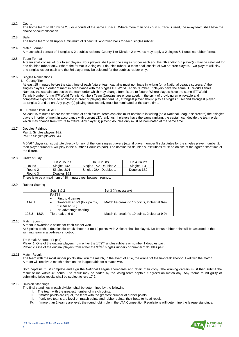# 12.2 Courts

The home team shall provide 2, 3 or 4 courts of the same surface. Where more than one court surface is used, the away team shall have the choice of court allocation.

# 12.3 Balls

The home team shall supply a minimum of 3 new ITF approved balls for each singles rubber.

# 12.4 Match Format

A match shall consist of 4 singles & 2 doubles rubbers. County Tier Division 2 onwards may apply a 2 singles & 1 doubles rubber format.

12.5 Team Format

A team shall consist of four to six players. Four players shall play one singles rubber each and the 5th and/or 6th player(s) may be selected for one doubles rubber only. Where the format is 2 singles, 1 doubles rubber, a team shall consist of two or three players. Two players will play one singles rubber each and the 3rd player may be selected for the doubles rubber only.

#### 12.6 Singles Nominations

I. County Tier

At least 15 minutes before the start time of each fixture, team captains must nominate in writing (on a National League scorecard) their singles players in order of merit in accordance with the singles ITF World Tennis Number. If players have the same ITF World Tennis Number, the captain can decide the team order which may change from fixture to fixture. Where players have the same ITF World Tennis Number (or no ITF World Tennis Number) Team Captains are encouraged, in the spirit of providing an enjoyable and competitive experience, to nominate in order of playing standard i.e., strongest player should play as singles 1, second strongest player as singles 2 and so on. Any player(s) playing doubles only must be nominated at the same time.

II. Premier 12&U-18&U

At least 15 minutes before the start time of each fixture, team captains must nominate in writing (on a National League scorecard) their singles players in order of merit in accordance with current LTA rankings. If players have the same ranking, the captain can decide the team order which may change from fixture to fixture. Any player(s) playing doubles only must be nominated at the same time.

# 12.7 Doubles Pairings

Pair 1: Singles players 1&2. Pair 2: Singles players 3&4.

A 5<sup>th</sup>/6<sup>th</sup> player can substitute directly for any of the four singles players (e.g., if player number 5 substitutes for the singles player number 2, then player number 5 will play in the number 1 doubles pair). The nominated doubles substitutions must be on site at the agreed start time of the fixture.

#### 12.8 Order of Play

|         | On 2 Courts | On 3 Courts            | On 4 Courts |
|---------|-------------|------------------------|-------------|
| Round 1 | Singles 1&2 | Singles 1&2, Doubles 2 | Singles 1-4 |
| Round 2 | Singles 3&4 | Singles 3&4, Doubles 1 | Doubles 1&2 |
| Round 3 | Doubles 1&2 |                        |             |

There is to be a maximum of 30 minutes rest between rounds.

# 12.9 Rubber Scoring

|             | Sets 1 & 2                                                                                                | Set 3 (if necessary)                           |
|-------------|-----------------------------------------------------------------------------------------------------------|------------------------------------------------|
| 11&U        | FAST4<br>First to 4 games<br>Tie-break at 3-3 (to 7 points,<br>2 clear at $6-6$ )<br>No advantage scoring | Match tie-break (to 10 points, 2 clear at 9-9) |
| 12&U – 18&U | Tie-break at 6-6                                                                                          | Match tie-break (to 10 points, 2 clear at 9-9) |

# 12.10 Match Scoring

A team is awarded 2 points for each rubber won.

At 6 points each, a doubles tie-break shoot-out (to 10 points, with 2 clear) shall be played. No bonus rubber point will be awarded to the winning team in a tie-break shoot-out.

#### Tie-Break Shootout (1 pair):

Player 1: One of the original players from either the  $1<sup>st</sup>/2<sup>nd</sup>$  singles rubbers or number 1 doubles pair. Player 2: One of the original players from either the  $3<sup>rd</sup>/4<sup>th</sup>$  singles rubbers or number 2 doubles pair.

# 12.11 Match Result

The team with the most rubber points shall win the match, in the event of a tie, the winner of the tie-break shoot-out will win the match. A team will receive 2 match points on the league table for a match win.

Both captains must complete and sign the National League scorecards and retain their copy. The winning captain must then submit the result online within 48 hours. The result may be added by the losing team captain if agreed on match day. Any teams found guilty of submitting false results shall be subject to rule 17.2.

#### 12.12 Division Standings

The final standings in each division shall be determined by the following:

- I. The team with the greatest number of match points.
- II. If match points are equal, the team with the greatest number of rubber points.
- III. If only two teams are level on match points and rubber points: their head to head result.
- <span id="page-8-0"></span>IV. If more than 2 teams are level, the round robin rule in the LTA Competition Regulations will determine the league standings.

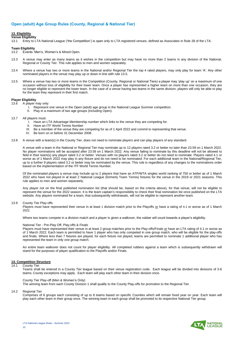# **Open (adult) Age Group Rules (County, Regional & National Tier)**

#### **13. Eligibility**

**Venue Eligibility**

13.1 Entry to LTA National League ('the Competition') is open only to LTA registered venues, defined as Associates in Rule 28 of the LTA.

#### **Team Eligibility**

13.2 Events: Men's, Women's & Mixed Open.

- 13.3 A venue may enter as many teams as it wishes in the competition but may have no more than 2 teams in any division of the National, Regional or County Tier. This rule applies to men and women separately.
- 13.4 Where a venue has two or more teams in the National and/or Regional Tier the top 4 rated players, may only play for team 'A'. Any other nominated players in the venue may play up or down in line with rule 13.5.
- 13.5 Where a venue has two or more teams in the Competition (County, Regional or National Tiers) a player may 'play up' on a maximum of one occasion without loss of eligibility for their lower team. Once a player has represented a higher team on more than one occasion, they are no longer eligible to represent the lower team. In the case of a venue having two teams in the same division, players will only be able to play for the team they represent in their first match.

#### **Player Eligibility**

13.6 A player may only:

- I. Represent one venue in the Open (adult) age group in the National League Summer competition.<br>IL Play in a maximum of two age groups (including Open).
- Play in a maximum of two age groups (including Open).
- 13.7 All players must:
	- I. Have an LTA Advantage Membership number which links to the venue they are competing for.<br>IL Have an ITF World Tennis Number
	- Have an ITF World Tennis Number
	- III. Be a member of the venue they are competing for as of 1 April 2022 and commit to representing that venue.
	- IV. Be born on or before 31 December 2008.
- 13.8 A venue with a team(s) in the County Tier, does not need to nominate players and can play players of any standard.

A venue with a team in the National or Regional Tier may nominate up to 12 players rated 3.2 or better no later than 23.59 on 1 March 2022. No player nominations will be accepted after 23.59 on 1 March 2022. Any venue failing to nominate by this deadline will not be allowed to field in their team(s) any player rated 3.2 or better. Venues with no players rated 3.2 or better do not need to nominate. Players rated 4.1 or worse as of 1 March 2022 may play in any fixture and do not need to be nominated. For each additional team in the National/Regional Tier, up to a further 9 players rated 3.2 or better may be nominated by the venue. This rule is regardless of any changes to the nominations order based on the implementation of the ITF World Tennis Number.

Of the nominated players a venue may include up to 2 players that have an ATP/WTA singles world ranking of 750 or better as of 1 March 2022 who have not played in at least 2 National League (formerly Team Tennis) fixtures for the venue in the 2019 or 2021 seasons. This rule applies to men and women separately.

Any player not on the final published nomination list (that should be, based on the criteria above), for that venue, will not be eligible to represent the venue for the 2022 season. It is the team captain's responsibility to check their final nomination list once published on the LTA website. Any players nominated for a team, that subsequently withdrawals, will not be eligible to represent another team.

13.9 County Tier Play-offs

Players must have represented their venue in at least 1 division match prior to the Playoffs or have a rating of 4.1 or worse as of 1 March 2022.

Where two teams compete in a division match and a player is given a walkover, the rubber will count towards a player's eligibility.

#### National Tier - Pre-Play Off, Play-offs & Finals

Players must have represented their venue in at least 2 group matches prior to the Play-offs/Finals or have an LTA rating of 4.1 or worse as of 1 March 2022. Each team is permitted to have 1 player who has only competed in one group match, who will be eligible for the play-offs and finals. Where less than 7 fixtures are played, for each fixture not played, teams are permitted to nominate 1 additional player who has represented the team in only one group match.

An entire team walkover does not count for player eligibility. All completed rubbers against a team which is subsequently withdrawn will stand for the purposes of player qualification to the Playoffs and/or Finals.

# **14. Competition Structure**

#### 14.1 County Tier

Teams shall be entered in a County Tier league based on their venue registration code. Each league will be divided into divisions of 3-6 teams. County exceptions may apply. Each team will play each other team in their division once.

#### County Tier Play-off (Men & Women's Only)

The winning team from each County Division 1 shall qualify to the County Play-offs for promotion to the Regional Tier.

# 14.2 Regional Tier

Comprises of 8 groups each consisting of up to 8 teams based on specific Counties which will remain fixed year on year. Each team will play each other team in their group once. The winning team in each group shall be promoted to its respective National Tier group.

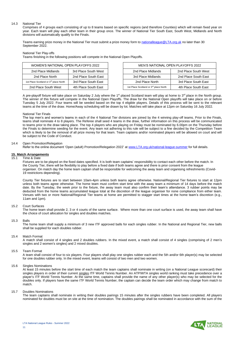# 14.3 National Tier

Comprises of 4 groups each consisting of up to 8 teams based on specific regions (and therefore Counties) which will remain fixed year on year. Each team will play each other team in their group once. The winner of National Tier South East, South West, Midlands and North divisions will automatically qualify to the Finals.

Teams earning prize money in the National Tier must submit a prize money form t[o nationalleague@LTA.org.uk](mailto:teamtennis@LTA.org.uk) no later than 30 September 2022.

National Tier Play-offs

Teams finishing in the following positions will compete in the National Open Playoffs.

| WOMEN'S NATIONAL OPEN PLAYOFFS 2022               |                      | MEN'S NATIONAL OPEN PLAYOFFS 2022                 |                      |
|---------------------------------------------------|----------------------|---------------------------------------------------|----------------------|
| 2nd Place Midlands                                | 3rd Place South West | 2nd Place Midlands                                | 2nd Place South West |
| 2nd Place North                                   | 2nd Place South East | 3rd Place Midlands                                | 2nd Place South East |
| 1st Place Scotland or 3 <sup>rd</sup> place North | 3rd Place South East | 2nd Place North                                   | 3rd Place South East |
| 2nd Place South West                              | 4th Place South East | 1st Place Scotland or 3 <sup>rd</sup> place North | 4th Place South East |

A pre-playoff fixture will take place on Saturday 2 July where the 1<sup>st</sup> placed Scotland team will play at home to  $3<sup>rd</sup>$  place in the North group. The winner of this fixture will compete in the National Open Playoffs. The draw for the National Open playoffs will take place on or before Tuesday 5 July 2022. Four teams will be seeded based on the top 4 eligible players. Details of this process will be sent to the relevant teams at the time of the draw. Home/Away scheduling will be drawn by lot. Matches will take place at 12pm on Saturday 16 July 2022.

#### National Tier Finals

The top men's and women's teams in each of the 4 National Tier divisions are joined by the 4 winning play-off teams. Prior to the Finals, teams shall nominate 4 to 8 players. The Referee shall seed 4 teams in the draw, further information on this process will be communicated to teams prior to the draw taking place. The top 4 players who are playing on Friday must be nominated by 6.00pm on the Thursday before the Finals to determine seeding for the event. Any team not adhering to this rule will be subject to a fine decided by the Competition Team which is likely to be the removal of all prize money for that team. Team captains and/or nominated players will be allowed on court and will be subject to the Code of Conduct.

#### 14.4 Open Promotion/Relegation

Refer to the online document 'Open (adult) Promotion/Relegation 2022' at [www.LTA.org.uk/national-league-summer](http://www.lta.org.uk/national-league-summer) for full details.

#### **15. Match Arrangements**

#### 15.1 Time & Date

Fixtures are to be played on the fixed dates specified. It is both team captains' responsibility to contact each other before the match. In the County Tier, there will be flexibility to play before a fixed date if both teams agree and there is prior consent from the league organiser. On match day the home team captain shall be responsible for welcoming the away team and organising refreshments (Covid-19 restrictions depending).

County Tier fixtures are to start between 10am-4pm unless both teams agree otherwise. National/Regional Tier fixtures to start at 12pm unless both teams agree otherwise. The home team must confirm start time with the away team a minimum of 14 days before the match date. By the Tuesday, the week prior to the fixture, the away team must also confirm their team's attendance. 3 rubber points may be deducted from the home teams accumulated league total at the discretion of the league organiser for none compliance from either team. Venues with two or more National/Regional Tier teams at home are permitted to stagger start times at the home team's discretion (e.g., 11am and 1pm).

# 15.2 Court Surfaces

The home team shall provide 2, 3 or 4 courts of the same surface. Where more than one court surface is used, the away team shall have the choice of court allocation for singles and doubles matches.

15.3 Balls

The home team shall supply a minimum of 3 new ITF approved balls for each singles rubber. In the National and Regional Tier, new balls shall be supplied for each doubles rubber.

#### 15.4 Match Format

A match shall consist of 4 singles and 2 doubles rubbers. In the mixed event, a match shall consist of 4 singles (comprising of 2 men's singles and 2 women's singles) and 2 mixed doubles.

#### 15.5 Team Format

A team shall consist of four to six players. Four players shall play one singles rubber each and the 5th and/or 6th player(s) may be selected for one doubles rubber only. In the mixed event, teams will consist of two men and two women.

15.6 Singles Nominations

At least 15 minutes before the start time of each match the team captains shall nominate in writing (on a National League scorecard) their singles players in order of their current singles ITF World Tennis Number. An ATP/WTA singles world ranking must take precedence over a player's ITF World Tennis Number. At the same time, captains shall provide the name of any other player(s) who may be selected for the doubles only. If players have the same ITF World Tennis Number, the captain can decide the team order which may change from match to match.

#### 15.7 Doubles Nominations

The team captains shall nominate in writing their doubles pairings 15 minutes after the singles rubbers have been completed. All players nominated for doubles must be on site at the time of nomination. The doubles pairings shall be nominated in accordance with the sum of the

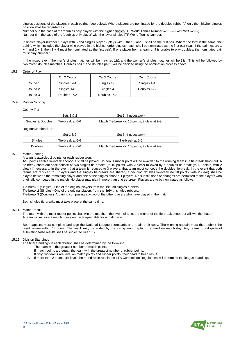singles positions of the players in each pairing (see below). Where players are nominated for the doubles rubber(s) only then his/her singles position shall be regarded as:

Number 5 in the case of the 'doubles only player' with the higher singles ITF World Tennis Number (or current ATP/WTA ranking) Number 6 in the case of the 'doubles only player' with the lower singles ITF World Tennis Number.

If singles player number 1 plays with 5 and singles player 2 plays with 3 then 2 and 3 shall be the first pair. Where the total is the same, the pairing which includes the player who played in the highest order singles match shall be nominated as the first pair (e.g., if the pairings are 1  $+$  4 and 2 + 3, then 1 + 4 must be nominated as the first pair). If one player from a team of 4 is unable to play doubles, the nominated pair must play number 1.

In the mixed event, the men's singles matches will be matches 1&2 and the women's singles matches will be 3&4. This will be followed by two mixed doubles matches. Doubles pair 1 and doubles pair 2 will be decided using the nomination process above.

#### 15.8 Order of Play

|         | On 2 Courts | On 3 Courts | On 4 Courts |
|---------|-------------|-------------|-------------|
| Round 1 | Singles 3&4 | Singles 1-3 | Singles 1-4 |
| Round 2 | Singles 1&2 | Singles 4   | Doubles 1&2 |
| Round 3 | Doubles 1&2 | Doubles 1&2 |             |

#### 15.9 Rubber Scoring

# County Tier

|                   | Sets 1 & 2       | Set 3 (if necessary)                           |
|-------------------|------------------|------------------------------------------------|
| Singles & Doubles | Tie-break at 6-6 | Match Tie-break (to 10 points, 2 clear at 9-9) |

#### Regional/National Tier

|         | Set 1 & 2        | Set 3 (if necessary)                           |
|---------|------------------|------------------------------------------------|
| Sinales | Tie-break at 6-6 | Tie-break at 6-6                               |
| Doubles | Tie-break at 6-6 | Match Tie-break (to 10 points, 2 clear at 9-9) |

#### 15.10 Match Scoring

A team is awarded 2 points for each rubber won.

At 6 points each a tie-break shoot-out shall be played. No bonus rubber point will be awarded to the winning team in a tie-break shoot-out. A tie-break shoot-out shall consist of two singles tie breaks (to 10 points, with 2 clear) followed by a doubles tie-break (to 10 points, with 2 clear) if necessary. In the event that a team is reduced to 3 players, that team must concede the doubles tie-break. In the event that both teams are reduced to 3 players and the singles tie-breaks are shared, a deciding doubles tie-break (to 10 points, with 2 clear) shall be played between the remaining player and one of the singles shoot-out players. No substitutions or changes are permitted to the players who originally competed in the match. No player may play in more than one tie-break. Players are to be nominated as follows:

Tie-break 1 (Singles): One of the original players from the 1st/2nd singles rubbers.

Tie-break 2 (Singles): One of the original players from the 3rd/4th singles rubbers.

Tie-break 3 (Doubles): A pairing comprising any two of the other players who have played in the match.

Both singles tie-breaks must take place at the same time.

#### 15.11 Match Result

The team with the most rubber points shall win the match, in the event of a tie, the winner of the tie-break shoot-out will win the match A team will receive 2 match points on the league table for a match win.

Both captains must complete and sign the National League scorecards and retain their copy. The winning captain must then submit the result online within 48 hours. The result may be added by the losing team captain if agreed on match day. Any teams found guilty of submitting false results shall be subject to rule 17.2.

# 15.12 Division Standings

- <span id="page-11-0"></span>The final standings in each division shall be determined by the following:
	- I. The team with the greatest number of match points.
	- II. If match points are equal, the team with the greatest number of rubber points.
	- III. If only two teams are level on match points and rubber points: their head to head result.
	- IV. If more than 2 teams are level, the round robin rule in the LTA Competition Regulations will determine the league standings.

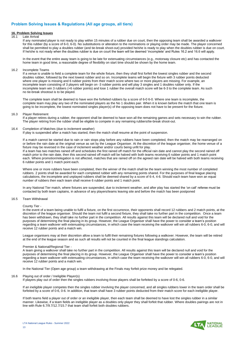# **Problem Solving Issues & Regulations (All age groups, all tiers)**

# **16. Problem Solving Issues**

# 16.1 Late Arrival

If any nominated player is not ready to play within 15 minutes of a rubber due on court, then the opposing team shall be awarded a walkover for this rubber (by a score of 6-0, 6-0). No substitutions or alteration to the nominations or playing order may be made. The player concerned shall be permitted to play a doubles rubber (and tie-break shoot-out) provided he/she is ready to play when the doubles rubber is due on court. If he/she is not ready when the doubles rubber is due on court the team will be deemed 'incomplete' and Rules 16.2 and 16.6 will apply.

In the event that the entire away team is going to be late for extenuating circumstances (e.g., motorway closure etc) and has contacted the home team in good time, a reasonable degree of flexibility on start time should be shown by the home team.

#### 16.2 Incomplete Teams

If a venue is unable to field a complete team for the whole fixture, then they shall first forfeit the lowest singles rubber and the second doubles rubber, followed by the next lowest rubber and so on. Incomplete teams will begin the fixture with 3 rubber points deducted where one player is missing and 6 rubber points from their match score where two or more players are missing. For example, an incomplete team consisting of 3 players will begin on -3 rubber points and will play 3 singles and 1 doubles rubber only. If the incomplete team win 3 rubbers (+6 rubber points) and lose 1 rubber the overall match score will be 6-3 to the complete team. As such no tie-break shootout is to be played.

The complete team shall be deemed to have won the forfeited rubbers by a score of 6-0 6-0. Where one team is incomplete, the complete team may play any two of the nominated players as the No 1 doubles pair. When it is known before the match that one team is going to be incomplete, the lowest nominated singles player(s) of the opposing team does not have to be present for the fixture.

# 16.3 Player Retirement

If a player retires during a rubber, the opponent shall be deemed to have won all the remaining games and sets necessary to win the rubber. The player retiring from the rubber shall be eligible to compete in any remaining rubbers/tie-break shoot-out.

#### 16.4 Completion of Matches (due to inclement weather)

If play is suspended after a match has started, then the match shall resume at the point of suspension.

If a match cannot be started due to rain or rain stops play before any rubbers have been completed, then the match may be rearranged on or before the rain date at the original venue as set by the League Organiser. At the discretion of the league organiser, the home venue of a fixture may be reversed in the case of inclement weather and/or courts being unfit for play. If a team has two matches rained off and schedules the first rained off match for the official rain date and cannot play the second rained off match prior to the rain date, then this second rained off match will be halved with both teams receiving 6 rubber points and 1 match point each. Where promotion/relegation is not affected, matches that are rained off on the agreed rain date will be halved with both teams receiving 6 rubber points and 1 match point each.

Where one or more rubbers have been completed, then the winner of the match shall be the team winning the most number of completed rubbers. 2 points shall be awarded for each completed rubber with any remaining points shared. For the purposes of final league placing calculations, the incomplete and unplayed rubbers shall be deemed shared by a score of 6-4, 4-6. Should each team have won an equal number of rubbers then each team shall receive 6 rubber points and 1 match point.

In any National Tier match, where fixtures are suspended, due to inclement weather, and after play has started the 'on call' referee must be contacted by both team captains, in advance of any players/teams leaving site and before the match has been postponed

# 16.5 Team Withdrawal

#### County Tier -

In the event of a team being unable to fulfil a fixture, on the first occurrence, their opponents shall record 12 rubbers and 2 match points, at the discretion of the league organiser. Should the team not fulfil a second fixture, they shall take no further part in the competition. Once a team has been withdrawn, they shall take no further part in the competition. All results against this team will be declared null and void for the purposes of determining the final placing in its group. However, the League Organiser shall have the power to consider a team's position regarding a team walkover with extenuating circumstances, in which case the team receiving the walkover will win all rubbers 6-0, 6-0, and will receive 12 rubber points and a match win.

League organisers may at their discretion allow a team to fulfil their remaining fixtures following a walkover. However, the team will be retired at the end of the league season and as such all results will not be counted in the final league standings calculation.

#### Premier & National/Regional Tier -

A team giving a walkover shall take no further part in the competition. All results against this team will be declared null and void for the purposes of determining the final placing in its group. However, the League Organiser shall have the power to consider a team's position regarding a team walkover with extenuating circumstances, in which case the team receiving the walkover will win all rubbers 6-0, 6-0, and will receive 12 rubber points and a match win.

In the National Tier (Open age group) a team withdrawing at the Finals may forfeit prize money and be relegated.

#### 16.6 Playing out of order / Ineligible Player(s)

If players play out of order then the singles rubbers involving those players shall be forfeited by a score of 0-6, 0-6.

If an ineligible player competes then the singles rubber involving the player concerned, and all singles rubbers lower in the team order shall be forfeited by a score of 0-6, 0-6. In addition, that team shall have 3 rubber points deducted from their match score for each ineligible player.

If both teams field a player out of order or an ineligible player, then each team shall be deemed to have lost the singles rubber in a similar manner. Likewise, if a team fields an ineligible player as a doubles only player they shall forfeit that rubber. Where doubles pairings are not in line with Rule 6.7/9.7/12.7/15.7 that team shall forfeit both doubles rubbers.

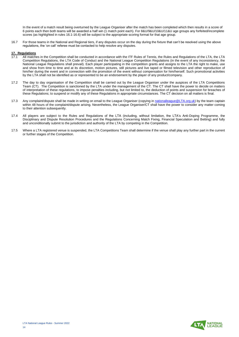In the event of a match result being overturned by the League Organiser after the match has been completed which then results in a score of 6 points each then both teams will be awarded a half win (1 match point each). For 8&U/9&U/10&U/11&U age groups any forfeited/incomplete scores (as highlighted in rules 16.1-16.6) will be subject to the appropriate scoring format for that age group.

16.7 For those teams in the National and Regional tiers, if any disputes occur on the day during the fixture that can't be resolved using the above regulations, the 'on call' referee must be contacted to help resolve any disputes.

# **17. Regulations**

- 17.1 All matches in the Competition shall be conducted in accordance with the ITF Rules of Tennis, the Rules and Regulations of the LTA, the LTA Competition Regulations, the LTA Code of Conduct and the National League Competition Regulations (in the event of any inconsistency, the National League Regulations shall prevail). Each player participating in the competition grants and assigns to the LTA the right to make, use and show from time to time and at its discretion, motion pictures, still pictures and live taped or filmed television and other reproduction of him/her during the event and in connection with the promotion of the event without compensation for him/herself. Such promotional activities by the LTA shall not be identified as or represented to be an endorsement by the player of any product/company.
- 17.2 The day to day organisation of the Competition shall be carried out by the League Organiser under the auspices of the LTA Competitions Team (CT). The Competition is sanctioned by the LTA under the management of the CT. The CT shall have the power to decide on matters of interpretation of these regulations, to impose penalties including, but not limited to, the deduction of points and suspension for breaches of these Regulations; to suspend or modify any of these Regulations in appropriate circumstances. The CT decision on all matters is final.
- 17.3 Any complaint/dispute shall be made in writing on email to the League Organiser (copying in [nationalleague@LTA.org.uk\)](mailto:teamtennis@LTA.org.uk) by the team captain within 48 hours of the complaint/dispute arising. Nevertheless, the League Organiser/CT shall have the power to consider any matter coming to their attention subsequently.
- 17.4 All players are subject to the Rules and Regulations of the LTA (including, without limitation, the LTA's Anti-Doping Programme, the Disciplinary and Dispute Resolution Procedures and the Regulations Concerning Match Fixing, Financial Speculation and Betting) and fully and unconditionally submit to the jurisdiction and authority of the LTA by competing in the Competition.
- 17.5 Where a LTA registered venue is suspended, the LTA Competitions Team shall determine if the venue shall play any further part in the current or further stages of the Competition.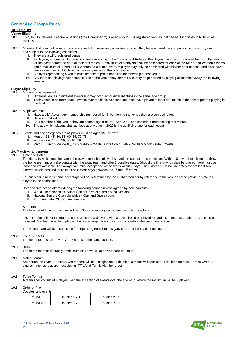# <span id="page-14-0"></span>**Senior Age Groups Rules**

# **18. Eligibility**

# **Venue Eligibility**

- 18.1 Entry to LTA National League Senior's ('the Competition') is open only to LTA registered venues, defined as Associates in Rule 28 of the LTA.
- 18.2 A venue that does not have its own courts and clubhouse may enter teams only if they have entered the competition in previous years and subject to the following conditions:
	- I. They are a LTA registered venue.
	- II. Each year, a nomadic club must nominate in writing to the Tournament Referee, the players it wishes to use in all teams in the events for that year before the date of their first match. A maximum of 6 players shall be nominated for each of the Men's and Women's teams and a maximum of 3 Men and 3 Women for a Mixed event. A player may only be nominated with his/her prior consent and must have been a member on 1 October in the year preceding the competition.
	- III. A player representing a venue must be able to prove bona fide membership of that venue.
	- IV. Any team not playing their home fixtures at the venue they entered with may be penalised by playing all matches away the following season.

# **Player Eligibility**

- 18.3 A player may represent
	- I. Different venues in different events but may not play for different clubs in the same age group.
	- II. Their venue in no more than 3 events over the finals weekend and must have played at least one match in that event prior to playing in the final.
- 18.4 All players must
	- I. Have a LTA Advantage membership number which links them to the venue they are competing for.
	- II. Have an LTA rating.
	- III. Be a member of the venue they are competing for as of 1 April 2022 and commit to representing that venue.
	- IV. The age which players shall achieve at any date in 2022 is the qualifying age for each event

18.5 Events and age categories are (A player must be aged 35+ or over):

- I. Men's 35, 45, 50, 55, 60, 65, 70, 75
- II. Women's 35, 40, 50, 60, 65, 70
- III. Mixed Junior (M45/W40), Senior (M55 / W50), Super Senior (M65 / W60) & Medley (M45 / W40)

# **19. Match Arrangements**<br>**19.1** Time and Dates

Time and Dates

The dates by which matches are to be played must be strictly observed throughout the competition. Within 10 days of receiving the draw the home team must make contact with the away team and offer 3 possible dates. Should the final play by date be offered there must be indoor courts available. The away team must accept one of the dates within 7 days. The 3 dates must include dates over at least two different weekends and there must be 8 clear days between the  $1<sup>st</sup>$  and  $3<sup>rd</sup>$  dates.

For successive rounds home advantage will be determined by the event organiser by reference to the venues of the previous matches played in the competition.

Dates should not be offered during the following periods unless agreed by both captains:

- I. World Championships, Super Seniors, Senior's and Young Seniors
- II. National Seniors Championships Clay and Grass courts
- III. European Inter Club Championships

#### Start Time

The latest start time for matches will be 1.00pm unless agreed otherwise by both captains.

It is not in the spirit of the tournament to concede walkovers. All matches should be played regardless of team strength or distance to be travelled. Any team unable to play on the pre-arranged finals day must concede at the semi- final stage.

The Home team will be responsible for organising refreshments (Covid-19 restrictions depending).

# 19.2 Court Surfaces

The home team shall provide 2 or 3 courts of the same surface.

# 19.3 Balls

The home team shall supply a minimum of 3 new ITF approved balls per court

#### 19.4 Match Format

Apart from the Over 35 Events, where there will be 2 singles and 3 doubles, a match will consist of 4 doubles rubbers. For the Over 35 singles matches, players must play in ITF World Tennis Number order

# 19.5 Team Format

A team shall consist of 4 players with the exception of events over the age of 65 where the maximum will be 5 players.

#### 19.6 Order of Play

Doubles only events

| Round 1 | Doubles 1 v 1      | Doubles $2 \vee 2$ |
|---------|--------------------|--------------------|
| Round 2 | Doubles $1 \vee 2$ | Doubles 2 v 1      |

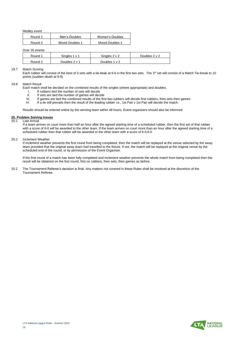Medley event

| Round 1 | Men's Doubles   | Women's Doubles |
|---------|-----------------|-----------------|
| Round 2 | Mixed Doubles 1 | Mixed Doubles 2 |
|         |                 |                 |

Over 35 events

| Round 1 | Sinales 1 v 1 | Singles $2 \vee 2$ | Doubles 2 v 2 |
|---------|---------------|--------------------|---------------|
| Round 2 | Doubles 2 v 1 | Doubles 1 y 2      |               |

#### 19.7 Match Scoring

Each rubber will consist of the best of 3 sets with a tie-beak at 6-6 in the first two sets. The 3<sup>rd</sup> set will consist of a Match Tie-break to 10 points (sudden death at 9-9)

#### 19.8 Match Result

- Each match shall be decided on the combined results of the singles (where appropriate) and doubles.
	- I. If rubbers tied the number of sets will decide
	- II. If sets are tied the number of games will decide<br>III. If games are tied the combined results of the first
	- III. If games are tied the combined results of the first two rubbers will decide first rubbers, then sets then games IV. If a tie still prevails then the result of the leading rubber i.e., 1st Pair v 1st Pair will decide t
	- If a tie still prevails then the result of the leading rubber i.e., 1st Pair v 1st Pair will decide the match.

Results should be entered online by the winning team within 48 hours. Event organisers should also be informed.

#### **20. Problem Solving Issues Late Arrival**

If a team arrives on court more than half an hour after the agreed starting time of a scheduled rubber, then the first set of that rubber with a score of 6-0 will be awarded to the other team. If the team arrives on court more than an hour after the agreed starting time of a scheduled rubber then that rubber will be awarded to the other team with a score of 6-0,6-0

#### 20.2 Inclement Weather

If inclement weather prevents the first round from being completed, then the match will be replayed at the venue selected by the away team provided that the original away team had travelled to the fixture. If not, the match will be replayed at the original venue by the scheduled end of the round, or by permission of the Event Organiser.

If the first round of a match has been fully completed and inclement weather prevents the whole match from being completed then the result will be obtained on the first round, first on rubbers, then sets, then games as before.

20.2 The Tournament Referee's decision is final. Any matters not covered in these Rules shall be resolved at the discretion of the Tournament Referee.

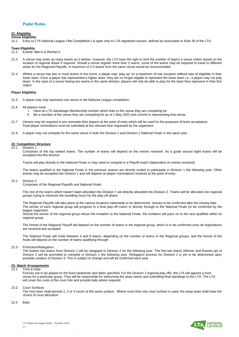# <span id="page-16-0"></span>**Padel Rules**

# **21. Eligibility**

# **Venue Eligibility**<br>21.1 **Entry to L**

21.1 Entry to LTA National League ('the Competition') is open only to LTA registered venues, defined as Associates in Rule 28 of the LTA.

#### **Team Eligibility**

21.2 Events: Men's & Women's

- 21.3 A venue may enter as many teams as it wishes, however, the LTA have the right to limit the number of teams a venue enters based on the location of regional draws if required. Should a venue register more than 2 teams, some of the teams may be required to travel to different areas for the Regional Playoffs. A maximum of 2-3 teams from the same venue would be recommended.
- 21.4 Where a venue has two or more teams in the event, a player may 'play up' on a maximum of one occasion without loss of eligibility in their lower team. Once a player has represented a higher team, they are no longer eligible to represent the lower team i.e., a player may not play down. In the case of a venue having two teams in the same division, players will only be able to play for the team they represent in their first match.

#### **Player Eligibility**

- 21.5 A player may only represent one venue in the National League competition.
- 21.6 All players must:
	- I. Have an LTA Advantage Membership number which links to the venue they are competing for.
		- II. Be a member of the venue they are competing for as of 1 May 2022 and commit to representing that venue.
- 21.7 Venues may be required to pre nominate their players at the point of entry which will be used for the purposes of team acceptance. Final player nominations must be submitted at the relevant time requested by the organisers.
- 21.8 A player may not compete for the same venue in both the Division 1 and Division 2 National Finals in the same year.

# **22. Competition Structure**

#### 22.1 Division 1

Comprises of the top ranked teams. The number of teams will depend on the entries received. As a guide around eight teams will be accepted into this division.

Teams will play directly to the National Finals or may need to compete in a Playoff match (dependent on entries received)

The teams qualified to the National Finals in the previous season are directly invited to participate in Division 1 the following year. Other entries may be accepted into Division 1 and will depend on player nominations received at the point of entry

#### 22.2 Division 2

Comprises of the Regional Playoffs and National Finals

The rest of the teams which haven't been allocated into Division 1 are directly allocated into Division 2. Teams will be allocated into regional groups trying to minimize the travelling hours for the play-off phase

The Regional Playoffs will take place at the various locations nationwide to be determined. Venues to be confirmed after the closing date. The winner of each regional group will progress to a final play-off match or directly through to the National Finals (to be confirmed by the league organiser)

Should the winner of the regional group refuse the invitation to the National Finals, the invitation will pass on to the next qualified within its regional group

The format of the Regional Playoff will depend on the number of teams in the regional group, which is to be confirmed once all registrations are received and accepted

The National Finals will invite between 4 and 8 teams, depending on the number of teams in the Regional groups, and the format of the finals will depend on the number of teams qualifying through

# 22.3 Promotion/Relegation

The bottom two teams from Division 1 will be relegated to Division 2 for the following year. The first two teams (Winner and Runner-up) of Division 2 will be promoted to compete in Division 1 the following year. Relegation process for Division 2 is yet to be determined upon possible creation of Division 3. This is subject to change and will be confirmed each year.

# **23. Match Arrangements**

#### 23.1 Time & Date

Fixtures are to be played on the fixed weekends and dates specified. For the Division 2 regional play offs, the LTA will appoint a host venue for a particular group. They will be responsible for welcoming the away teams and submitting final standings to the LTA. The LTA will cover the costs of the court hire and provide balls where required.

#### 23.2 Court Surfaces

The host team shall provide 2, 3 or 4 courts of the same surface. Where more than one court surface is used, the away team shall have the choice of court allocation.

#### 23.3 Balls